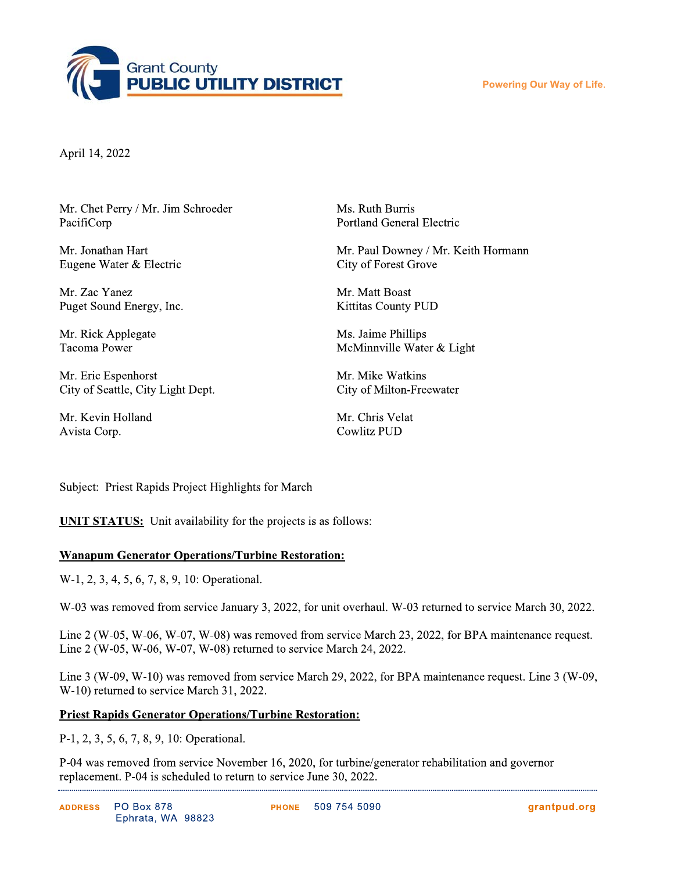

**Powering Our Way of Life.** 

April 14, 2022

Mr. Chet Perry / Mr. Jim Schroeder PacifiCorp

Mr. Jonathan Hart Eugene Water & Electric

Mr. Zac Yanez Puget Sound Energy, Inc.

Mr. Rick Applegate **Tacoma Power** 

Mr. Eric Espenhorst City of Seattle, City Light Dept.

Mr. Kevin Holland Avista Corp.

Ms. Ruth Burris **Portland General Electric** 

Mr. Paul Downey / Mr. Keith Hormann City of Forest Grove

Mr. Matt Boast **Kittitas County PUD** 

Ms. Jaime Phillips McMinnville Water & Light

Mr. Mike Watkins City of Milton-Freewater

Mr. Chris Velat **Cowlitz PUD** 

Subject: Priest Rapids Project Highlights for March

**UNIT STATUS:** Unit availability for the projects is as follows:

## **Wanapum Generator Operations/Turbine Restoration:**

W-1, 2, 3, 4, 5, 6, 7, 8, 9, 10: Operational.

W-03 was removed from service January 3, 2022, for unit overhaul. W-03 returned to service March 30, 2022.

Line 2 (W-05, W-06, W-07, W-08) was removed from service March 23, 2022, for BPA maintenance request. Line 2 (W-05, W-06, W-07, W-08) returned to service March 24, 2022.

Line 3 (W-09, W-10) was removed from service March 29, 2022, for BPA maintenance request. Line 3 (W-09, W-10) returned to service March 31, 2022.

## **Priest Rapids Generator Operations/Turbine Restoration:**

P-1, 2, 3, 5, 6, 7, 8, 9, 10: Operational.

P-04 was removed from service November 16, 2020, for turbine/generator rehabilitation and governor replacement. P-04 is scheduled to return to service June 30, 2022.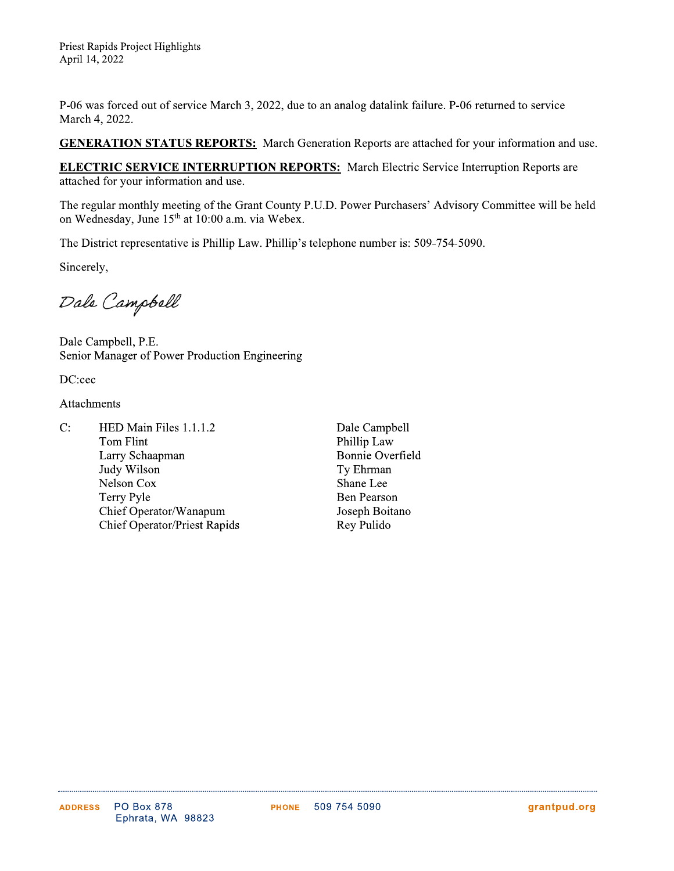Priest Rapids Project Highlights April 14, 2022

P-06 was forced out of service March 3, 2022, due to an analog datalink failure. P-06 returned to service March 4, 2022.

**GENERATION STATUS REPORTS:** March Generation Reports are attached for your information and use.

**ELECTRIC SERVICE INTERRUPTION REPORTS:** March Electric Service Interruption Reports are attached for your information and use.

The regular monthly meeting of the Grant County P.U.D. Power Purchasers' Advisory Committee will be held on Wednesday, June 15<sup>th</sup> at 10:00 a.m. via Webex.

The District representative is Phillip Law. Phillip's telephone number is: 509-754-5090.

Sincerely,

Dale Campbell

Dale Campbell, P.E. Senior Manager of Power Production Engineering

DC:cec

Attachments

- $C:$ HED Main Files 1.1.1.2 Tom Flint Larry Schaapman Judy Wilson Nelson Cox **Terry Pyle** Chief Operator/Wanapum **Chief Operator/Priest Rapids**
- Dale Campbell Phillip Law **Bonnie Overfield** Ty Ehrman Shane Lee **Ben Pearson** Joseph Boitano Rey Pulido

. . . . . . . . . . . . . . . . . . . .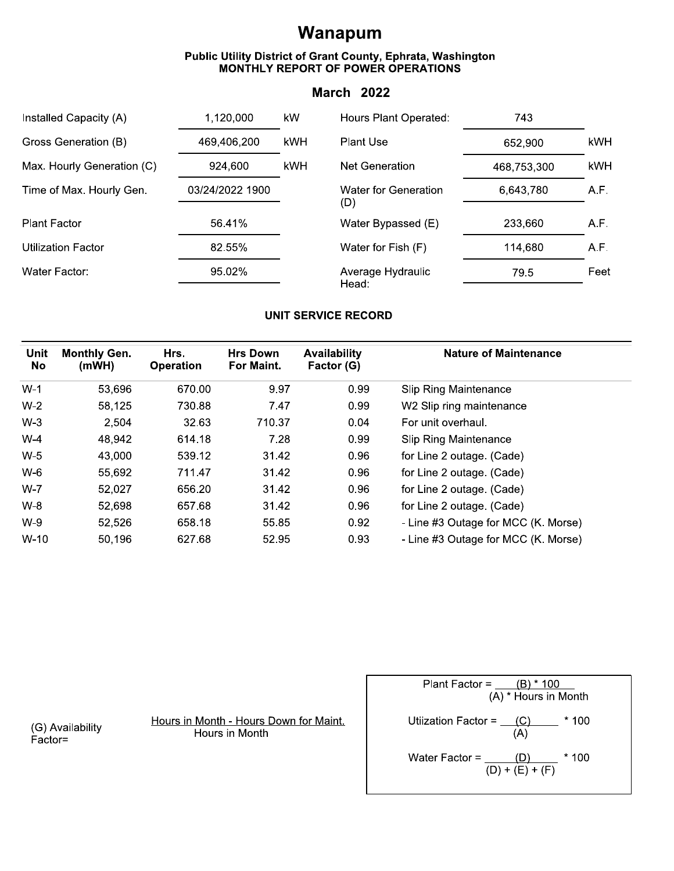## Wanapum

## Public Utility District of Grant County, Ephrata, Washington<br>MONTHLY REPORT OF POWER OPERATIONS

## **March 2022**

| Installed Capacity (A)     | 1,120,000       | kW  | Hours Plant Operated:              | 743         |      |
|----------------------------|-----------------|-----|------------------------------------|-------------|------|
| Gross Generation (B)       | 469,406,200     | kWH | <b>Plant Use</b>                   | 652,900     | kWH. |
| Max. Hourly Generation (C) | 924,600         | kWH | Net Generation                     | 468,753,300 | kWH  |
| Time of Max. Hourly Gen.   | 03/24/2022 1900 |     | <b>Water for Generation</b><br>(D) | 6,643,780   | A.F. |
| <b>Plant Factor</b>        | 56.41%          |     | Water Bypassed (E)                 | 233,660     | A.F. |
| <b>Utilization Factor</b>  | 82.55%          |     | Water for Fish (F)                 | 114,680     | A.F. |
| Water Factor:              | 95.02%          |     | Average Hydraulic<br>Head:         | 79.5        | Feet |

## **UNIT SERVICE RECORD**

| <b>Unit</b><br>No | <b>Monthly Gen.</b><br>(mWH) | Hrs.<br><b>Operation</b> | <b>Hrs Down</b><br>For Maint. | <b>Availability</b><br>Factor (G) | <b>Nature of Maintenance</b>        |
|-------------------|------------------------------|--------------------------|-------------------------------|-----------------------------------|-------------------------------------|
|                   |                              |                          |                               |                                   |                                     |
| $W-1$             | 53,696                       | 670.00                   | 9.97                          | 0.99                              | Slip Ring Maintenance               |
| $W-2$             | 58,125                       | 730.88                   | 7.47                          | 0.99                              | W2 Slip ring maintenance            |
| $W-3$             | 2,504                        | 32.63                    | 710.37                        | 0.04                              | For unit overhaul.                  |
| $W-4$             | 48,942                       | 614.18                   | 7.28                          | 0.99                              | <b>Slip Ring Maintenance</b>        |
| $W-5$             | 43,000                       | 539.12                   | 31.42                         | 0.96                              | for Line 2 outage. (Cade)           |
| $W-6$             | 55,692                       | 711.47                   | 31.42                         | 0.96                              | for Line 2 outage. (Cade)           |
| $W-7$             | 52,027                       | 656.20                   | 31.42                         | 0.96                              | for Line 2 outage. (Cade)           |
| $W-8$             | 52,698                       | 657.68                   | 31.42                         | 0.96                              | for Line 2 outage. (Cade)           |
| $W-9$             | 52,526                       | 658.18                   | 55.85                         | 0.92                              | - Line #3 Outage for MCC (K. Morse) |
| $W-10$            | 50,196                       | 627.68                   | 52.95                         | 0.93                              | - Line #3 Outage for MCC (K. Morse) |

(G) Availability  $\overrightarrow{Factor}$ 

Hours in Month - Hours Down for Maint. Hours in Month

Plant Factor =  $\frac{(B) * 100}{(A) *$  Hours in Month Utiization Factor =  $\frac{(C)}{(A)}$  \* 100 Water Factor =  $\frac{(D)}{(D) + (E) + (F)}$  \* 100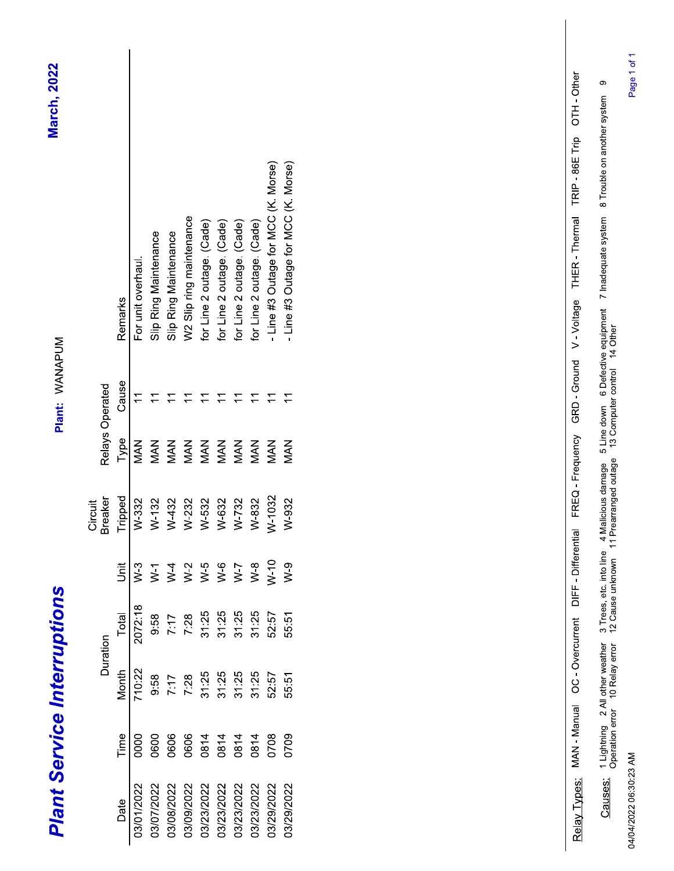| <b>Plant Service Interruptions</b> |      |        |          |        |                           |            | Plant: WANAPUM  |                                     | <b>March, 2022</b> |
|------------------------------------|------|--------|----------|--------|---------------------------|------------|-----------------|-------------------------------------|--------------------|
|                                    |      |        | Duration |        | <b>Breaker</b><br>Circuit |            | Relays Operated |                                     |                    |
| Date                               | Time | Month  | Total    | j      | Tripped                   | Type       | Cause           | Remarks                             |                    |
| 03/01/2022                         | 0000 | 710:22 | 2072:18  | $W-3$  | W-332                     | MAN        | $\overline{1}$  | For unit overhaul.                  |                    |
| 03/07/2022                         | 0600 | 9:58   | 9:58     | $\geq$ | $W-132$                   | <b>MAN</b> |                 | Slip Ring Maintenance               |                    |
| 03/08/2022                         | 0606 | 7:17   | 7:17     | $N-4$  | W-432                     | MAN        |                 | Slip Ring Maintenance               |                    |
| 03/09/2022                         | 0606 | 7:28   | 7:28     | $W-2$  | W-232                     | <b>MAN</b> |                 | W2 Slip ring maintenance            |                    |
| 03/23/2022                         | 0814 | 31:25  | 31:25    | $W-5$  | W-532                     | MAN        |                 | for Line 2 outage. (Cade)           |                    |
| 03/23/2022                         | 0814 | 31.25  | 31:25    | $W-6$  | W-632                     | <b>MAN</b> |                 | for Line 2 outage. (Cade)           |                    |
| 03/23/2022                         | 0814 | 31:25  | 31:25    | $W-7$  | W-732                     | <b>MAN</b> |                 | for Line 2 outage. (Cade)           |                    |
| 03/23/2022                         | 0814 | 31:25  | 31:25    | $W-8$  | W-832                     | MAN        |                 | for Line 2 outage. (Cade)           |                    |
| 03/29/2022                         | 0708 | 52:57  | 52:57    | $W-10$ | W-1032                    | <b>NAN</b> |                 | - Line #3 Outage for MCC (K. Morse) |                    |
| 03/29/2022                         | 0709 | 55:51  | 55:51    | $W-9$  | W-932                     | MAN        |                 | - Line #3 Outage for MCC (K. Morse) |                    |

R<u>elay Types:</u> MAN - Manual OC - Overcurrent DIFF - Differential FREO - Frequency GRD - Ground V - Voltage THER - Thermal TRIP - 98E Trip OTH - Other<br>Causes: Dupting 2 Alldharwwatter 3 Trees, etc. Include 4 Malebus damage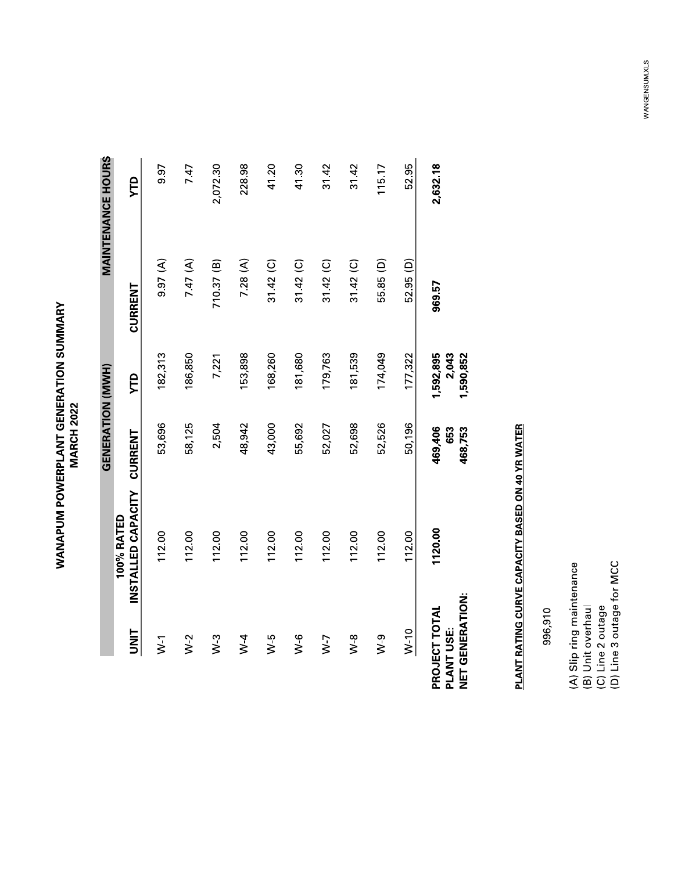**WANAPUM POWERPLANT GENERATION SUMMARY**<br>MARCH 2022

|                                                       |                                  | GENERATION (MWH)          |                                 |                      | <b>MAINTENANCE HOURS</b> |
|-------------------------------------------------------|----------------------------------|---------------------------|---------------------------------|----------------------|--------------------------|
| <b>UNIT</b>                                           | INSTALLED CAPACITY<br>100% RATED | CURRENT                   | УTD                             | CURRENT              | УTD                      |
| $\geq$                                                | 112.00                           | 53,696                    | 182,313                         | (4)                  | 9.97                     |
| $W-2$                                                 | 112.00                           | 58,125                    | 186,850                         | 7.47 $(A)$           | 7.47                     |
| $W-3$                                                 | 112.00                           | 2,504                     | 7,221                           | 710.37 (B)           | 2,072.30                 |
| $W - 4$                                               | 112.00                           | 48,942                    | 153,898                         | 7.28(A)              | 228.98                   |
| $W-5$                                                 | 112.00                           | 43,000                    | 168,260                         | $31.42$ (C)          | 41.20                    |
| $\frac{6}{3}$                                         | 112.00                           | 55,692                    | 181,680                         | $31.42$ (C)          | 41.30                    |
| $N-7$                                                 | 112.00                           | 52,027                    | 179,763                         | $31.42$ (C)          | 31.42                    |
| $W-8$                                                 | 112.00                           | 52,698                    | 181,539                         | $31.42$ (C)          | 31.42                    |
| $W-9$                                                 | 112.00                           | 52,526                    | 174,049                         | 55.85 <sub>(D)</sub> | 115.17                   |
| $W-10$                                                | 112.00                           | 50,196                    | 177,322                         | 52.95 (D)            | 52.95                    |
| <b>NET GENERATION:</b><br>PROJECT TOTAL<br>PLANT USE: | 1120.00                          | 469,406<br>653<br>468,753 | 1,592,895<br>2,043<br>1,590,852 | 969.57               | 2,632.18                 |

# PLANT RATING CURVE CAPACITY BASED ON 40 YR WATER

996,910

(A) Slip ring maintenance<br>(B) Unit overhaul<br>(C) Line 2 outage<br>(D) Line 3 outage for MCC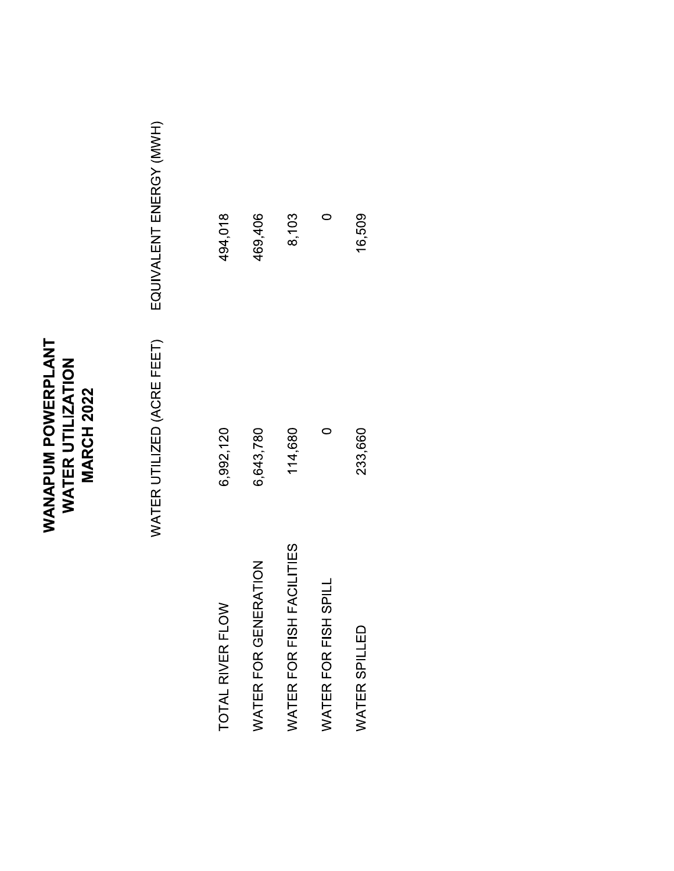## WANAPUM POWERPLANT<br>WATER UTILIZATION<br>MARCH 2022

EQUIVALENT ENERGY (MWH) WATER UTILIZED (ACRE FEET)

| TOTAL RIVER FLOW          | 6,992,120 | 494,018 |  |
|---------------------------|-----------|---------|--|
| WATER FOR GENERATION      | 6,643,780 | 169,406 |  |
| WATER FOR FISH FACILITIES | 114,680   | 8,103   |  |
| WATER FOR FISH SPILL      |           |         |  |
| <b>WATER SPILLED</b>      | 233,660   | 16,509  |  |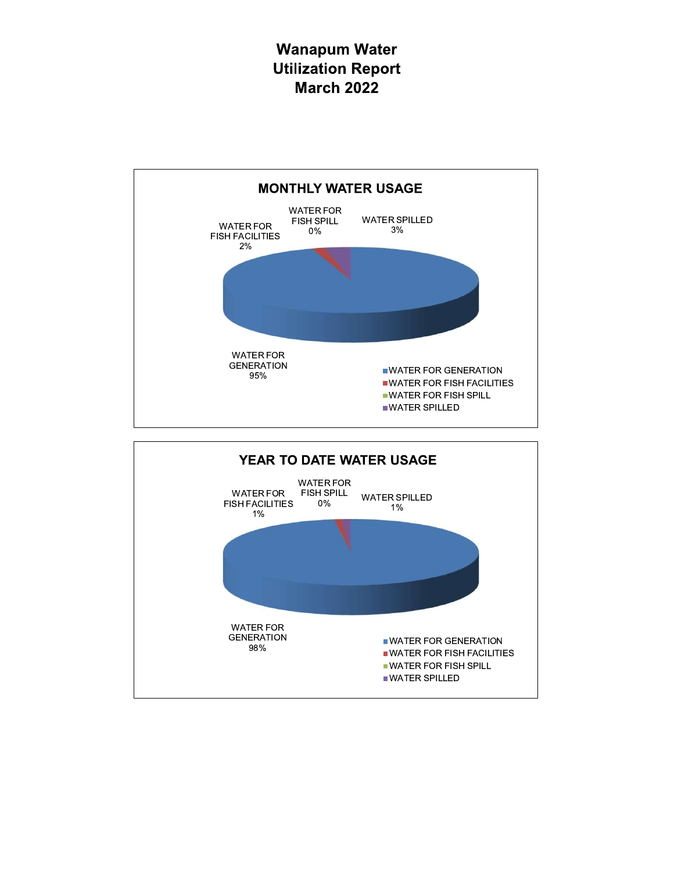## **Wanapum Water Utilization Report March 2022**



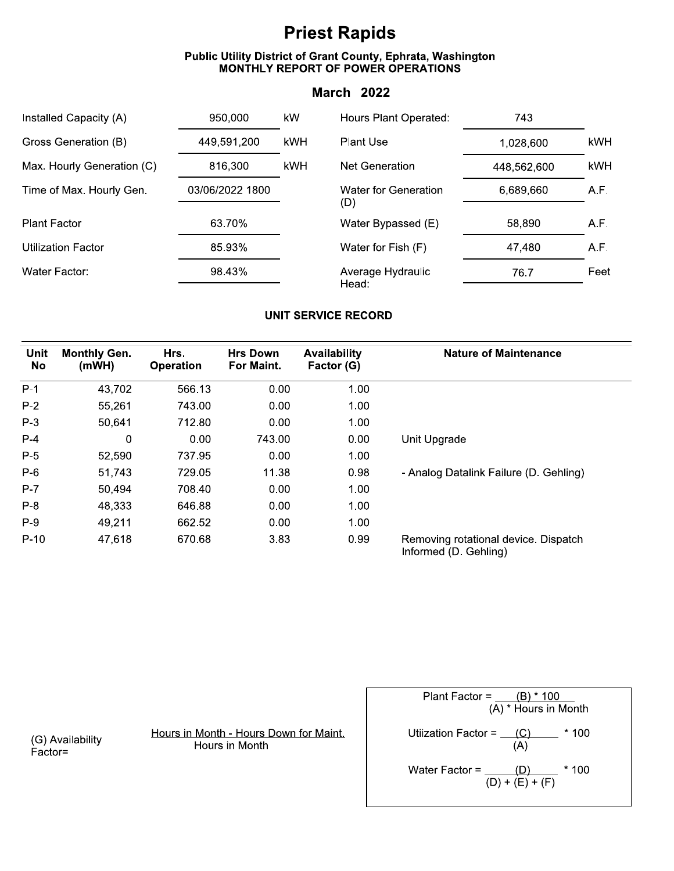## **Priest Rapids**

## Public Utility District of Grant County, Ephrata, Washington<br>MONTHLY REPORT OF POWER OPERATIONS

## **March 2022**

| Installed Capacity (A)     | 950,000         | kW         | Hours Plant Operated:              | 743         |      |
|----------------------------|-----------------|------------|------------------------------------|-------------|------|
| Gross Generation (B)       | 449,591,200     | kWH        | <b>Plant Use</b>                   | 1,028,600   | kWH  |
| Max. Hourly Generation (C) | 816,300         | <b>kWH</b> | Net Generation                     | 448,562,600 | kWH  |
| Time of Max. Hourly Gen.   | 03/06/2022 1800 |            | <b>Water for Generation</b><br>(D) | 6,689,660   | A.F. |
| <b>Plant Factor</b>        | 63.70%          |            | Water Bypassed (E)                 | 58,890      | A.F. |
| <b>Utilization Factor</b>  | 85.93%          |            | Water for Fish (F)                 | 47,480      | A.F. |
| Water Factor:              | 98.43%          |            | Average Hydraulic<br>Head:         | 76.7        | Feet |

## **UNIT SERVICE RECORD**

| Unit<br>No | <b>Monthly Gen.</b><br>(mWH) | Hrs.<br><b>Operation</b> | <b>Hrs Down</b><br>For Maint. | <b>Availability</b><br>Factor (G) | <b>Nature of Maintenance</b>                                  |
|------------|------------------------------|--------------------------|-------------------------------|-----------------------------------|---------------------------------------------------------------|
| $P-1$      | 43,702                       | 566.13                   | 0.00                          | 1.00                              |                                                               |
| $P-2$      | 55,261                       | 743.00                   | 0.00                          | 1.00                              |                                                               |
| $P-3$      | 50,641                       | 712.80                   | 0.00                          | 1.00                              |                                                               |
| $P-4$      | 0                            | 0.00                     | 743.00                        | 0.00                              | Unit Upgrade                                                  |
| $P-5$      | 52,590                       | 737.95                   | 0.00                          | 1.00                              |                                                               |
| $P-6$      | 51,743                       | 729.05                   | 11.38                         | 0.98                              | - Analog Datalink Failure (D. Gehling)                        |
| $P-7$      | 50,494                       | 708.40                   | 0.00                          | 1.00                              |                                                               |
| $P-8$      | 48,333                       | 646.88                   | 0.00                          | 1.00                              |                                                               |
| $P-9$      | 49,211                       | 662.52                   | 0.00                          | 1.00                              |                                                               |
| $P-10$     | 47,618                       | 670.68                   | 3.83                          | 0.99                              | Removing rotational device. Dispatch<br>Informed (D. Gehling) |

(G) Availability<br>Factor=

Hours in Month - Hours Down for Maint. Hours in Month

Plant Factor =  $\frac{(B) * 100}{(A) *$  Hours in Month Utiization Factor =  $\frac{(C)}{(A)}$  \* 100 Water Factor =  $\frac{(D)}{(D) + (E) + (F)}$  \* 100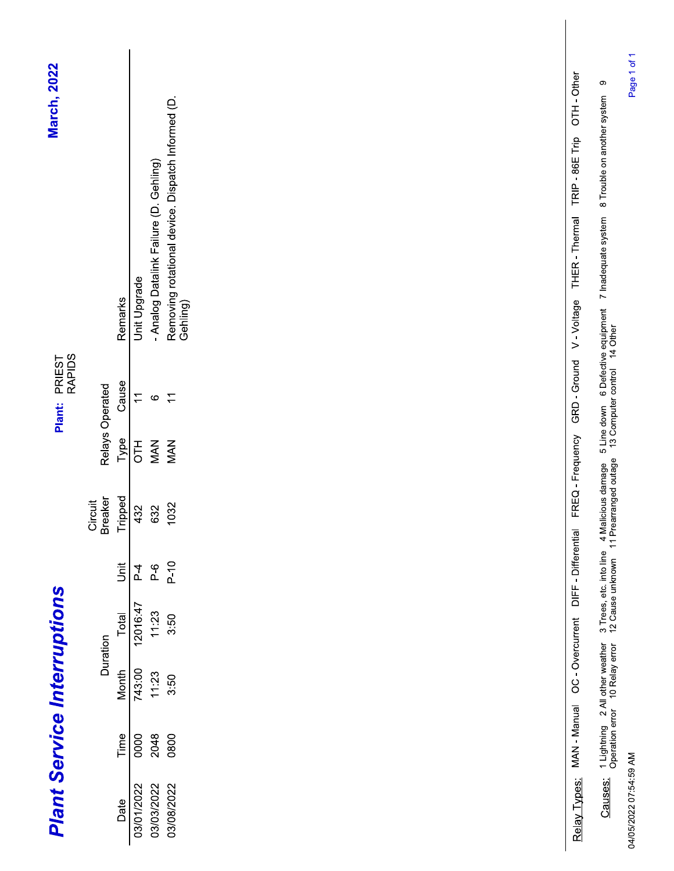| <b>March, 2022</b>                 |                    |         |                          |                                        |                                                               | OTH-Other<br>TRIP - 86E Trip |
|------------------------------------|--------------------|---------|--------------------------|----------------------------------------|---------------------------------------------------------------|------------------------------|
|                                    |                    | Remarks | Unit Upgrade             | - Analog Datalink Failure (D. Gehling) | Removing rotational device. Dispatch Informed (D.<br>Gehling) | THER - Thermal<br>V-Voltage  |
|                                    |                    |         |                          |                                        |                                                               |                              |
| PRIEST<br>RAPIDS<br><b>Plant:</b>  | Relays Operated    | Cause   | $\overline{\mathcal{L}}$ | $\circ$                                | $\overline{1}$                                                | GRD - Ground                 |
|                                    |                    | Type    | <b>HIO</b>               | MAN                                    | <b>MAN</b>                                                    | FREQ - Frequency             |
|                                    | Breaker<br>Circuit | Tripped | 432                      | 632                                    | 1032                                                          |                              |
|                                    |                    | jā      | $\frac{4}{1}$            | $\mathsf{P}\text{-}\mathsf{G}$         | $P-10$                                                        | DIFF - Differential          |
|                                    |                    | Total   | 12016:47                 | 11:23                                  | 3:50                                                          |                              |
|                                    | Duration           | Month   | 743:00                   | 11:23                                  | 3:50                                                          | OC - Overcurrent             |
| <b>Plant Service Interruptions</b> |                    | Time    | 0000                     | 2048                                   | 0800                                                          | MAN - Manual                 |
|                                    |                    | Date    | 03/01/2022               | 03/03/2022                             | 03/08/2022                                                    | Relay Types:                 |

04/05/2022 07:54:59 AM

Causes: 1 Lightning 2 All other weather 3 Trees, etc. into line 4 Malicious damage 5 Line down 6 Defective equipment 7 Inadequate system 8 Trouble on another system 9<br>Operation error 10 Relay error 12 Cause unknown 11 Prea

Page 1 of 1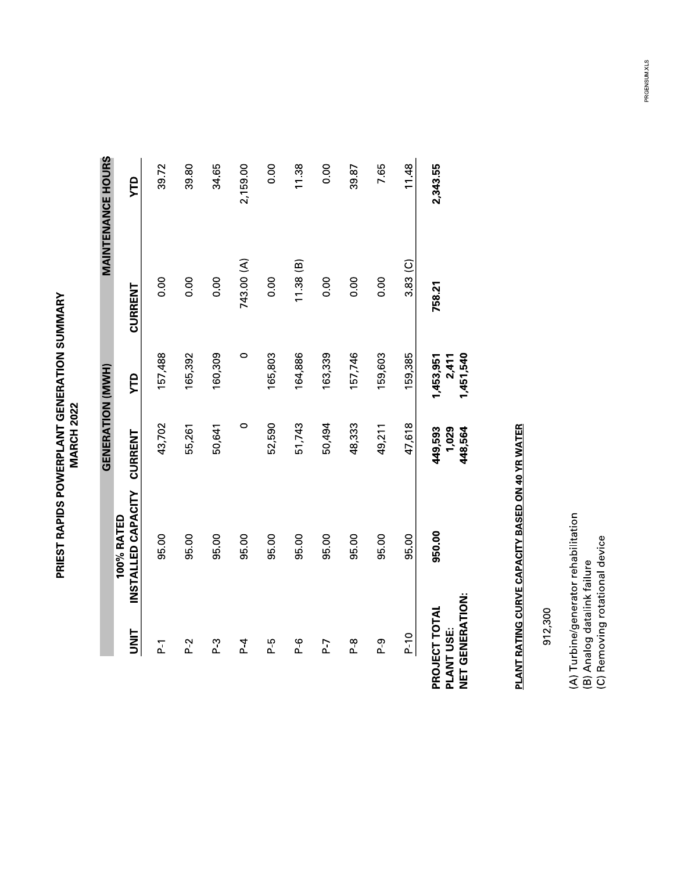**PRIEST RAPIDS POWERPLANT GENERATION SUMMARY<br>MARCH 2022** 

|                                                       |                                  | GENERATION (MWH)            |                                 |            | <b>MAINTENANCE HOURS</b> |
|-------------------------------------------------------|----------------------------------|-----------------------------|---------------------------------|------------|--------------------------|
| <b>UNIT</b>                                           | INSTALLED CAPACITY<br>100% RATED | <b>CURRENT</b>              | УTD                             | CURRENT    | УTD                      |
| $\overline{P}$                                        | 95.00                            | 43,702                      | 157,488                         | 0.00       | 39.72                    |
| $P-2$                                                 | 95.00                            | 55,261                      | 165,392                         | 0.00       | 39.80                    |
| <u>բ 3</u>                                            | 95.00                            | 50,641                      | 160,309                         | 0.00       | 34.65                    |
| $\overline{4}$                                        | 95.00                            | $\circ$                     | $\circ$                         | 743.00 (A) | 2,159.00                 |
| բ 7<br>Մ                                              | 95.00                            | 52,590                      | 165,803                         | 0.00       | 0.00                     |
| $\overline{P}$                                        | 95.00                            | 51,743                      | 164,886                         | 11.38(B)   | 11.38                    |
| P-7                                                   | 95.00                            | 50,494                      | 163,339                         | 0.00       | 0.00                     |
| <u>գ</u>                                              | 95.00                            | 48,333                      | 157,746                         | 0.00       | 39.87                    |
| ი<br>ს                                                | 95.00                            | 49,211                      | 159,603                         | 0.00       | 7.65                     |
| $P-10$                                                | 95.00                            | 47,618                      | 159,385                         | $3.83($ C) | 11.48                    |
| <b>NET GENERATION:</b><br>PROJECT TOTAL<br>PLANT USE: | 950.00                           | 449,593<br>1,029<br>448,564 | 1,453,951<br>1,451,540<br>2,411 | 758.21     | 2,343.55                 |

# PLANT RATING CURVE CAPACITY BASED ON 40 YR WATER

912,300

(A) Turbine/generator rehabilitation<br>(B) Analog datalink failure<br>(C) Removing rotational device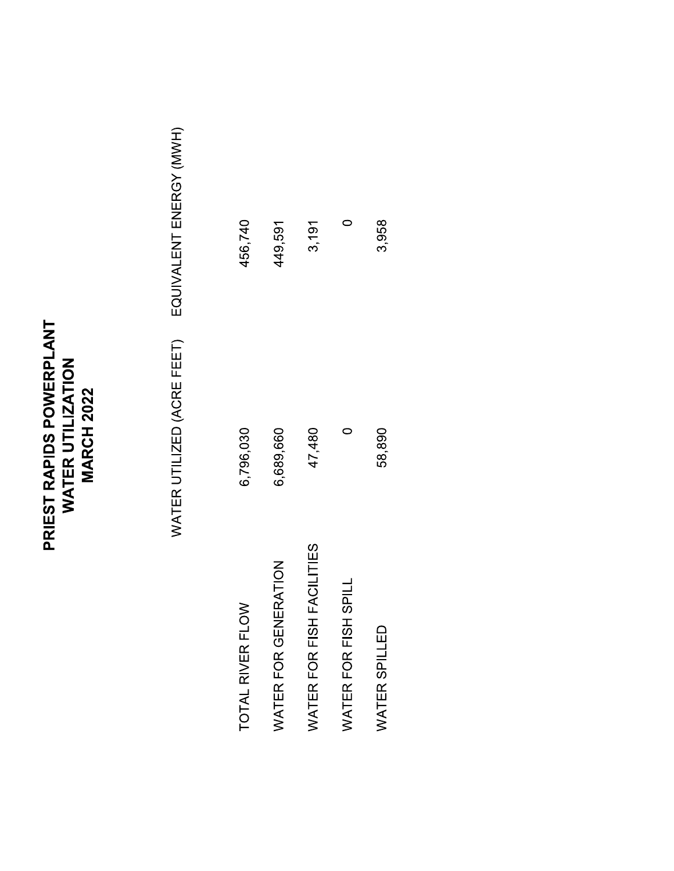## **PRIEST RAPIDS POWERPLANT<br>WATER UTILIZATION<br>MARCH 2022**

EQUIVALENT ENERGY (MWH) WATER UTILIZED (ACRE FEET)

| TOTAL RIVER FLOW          | 6,796,030 | 456,740 |
|---------------------------|-----------|---------|
| WATER FOR GENERATION      | 6,689,660 | 449,591 |
| WATER FOR FISH FACILITIES | 47,480    | 3,191   |
| WATER FOR FISH SPILL      |           |         |
| WATER SPILLED             | 58,890    | 3,958   |